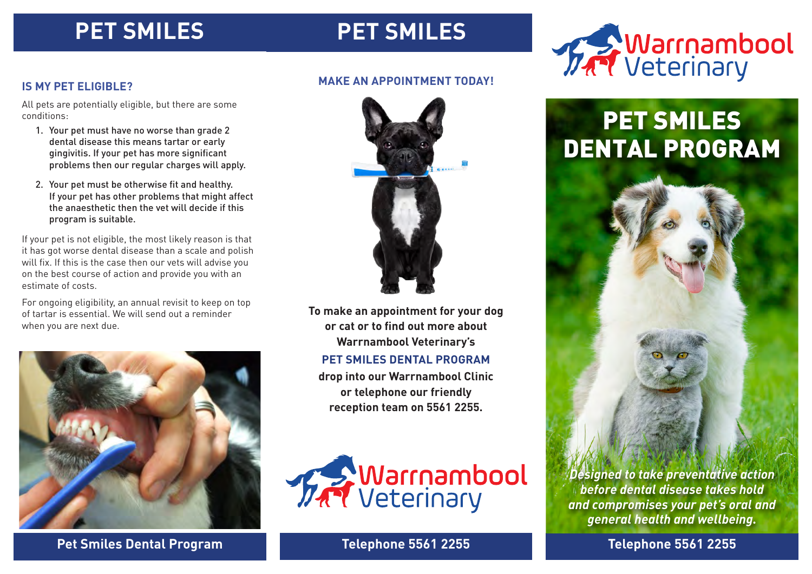### **PET SMILES**

### **PET SMILES**



### **IS MY PET ELIGIBLE?**

All pets are potentially eligible, but there are some conditions:

- 1. Your pet must have no worse than grade 2 dental disease this means tartar or early gingivitis. If your pet has more significant problems then our regular charges will apply.
- 2. Your pet must be otherwise fit and healthy. If your pet has other problems that might affect the anaesthetic then the vet will decide if this program is suitable.

If your pet is not eligible, the most likely reason is that it has got worse dental disease than a scale and polish will fix. If this is the case then our vets will advise you on the best course of action and provide you with an estimate of costs.

For ongoing eligibility, an annual revisit to keep on top of tartar is essential. We will send out a reminder when you are next due.



### **Pet Smiles Dental Program Telephone 5561 2255 Telephone 5561 2255**

### **MAKE AN APPOINTMENT TODAY!**



**To make an appointment for your dog or cat or to find out more about Warrnambool Veterinary's** 

#### **PET SMILES DENTAL PROGRAM**

**drop into our Warrnambool Clinic or telephone our friendly reception team on 5561 2255.** 



# PET SMILES DENTAL PROGRAM